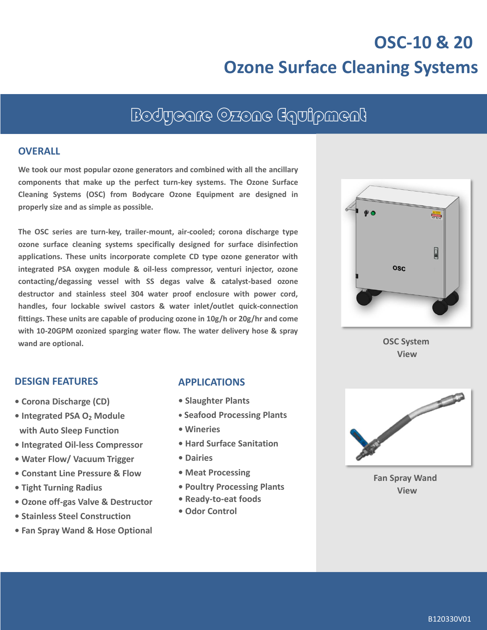## **OSC-10 & 20 Ozone Surface Cleaning Systems**

## Bodycare Ozone Equipment

#### **OVERALL**

**We took our most popular ozone generators and combined with all the ancillary components that make up the perfect turn-key systems. The Ozone Surface Cleaning Systems (OSC) from Bodycare Ozone Equipment are designed in properly size and as simple as possible.**

**The OSC series are turn-key, trailer-mount, air-cooled; corona discharge type ozone surface cleaning systems specifically designed for surface disinfection applications. These units incorporate complete CD type ozone generator with integrated PSA oxygen module & oil-less compressor, venturi injector, ozone contacting/degassing vessel with SS degas valve & catalyst-based ozone destructor and stainless steel 304 water proof enclosure with power cord, handles, four lockable swivel castors & water inlet/outlet quick-connection fittings. These units are capable of producing ozone in 10g/h or 20g/hr and come with 10-20GPM ozonized sparging water flow. The water delivery hose & spray wand are optional.**

# $\overline{\mathbf{a}}$ **OSC**

**OSC System View**

#### **DESIGN FEATURES**

- **Corona Discharge (CD)**
- **• Integrated PSA O<sup>2</sup> Module with Auto Sleep Function**
- **• Integrated Oil-less Compressor**
- **Water Flow/ Vacuum Trigger**
- **Constant Line Pressure & Flow**
- **• Tight Turning Radius**
- **• Ozone off-gas Valve & Destructor**
- **• Stainless Steel Construction**
- **• Fan Spray Wand & Hose Optional**

#### **APPLICATIONS**

- **Slaughter Plants**
- **• Seafood Processing Plants**
- **• Wineries**
- **• Hard Surface Sanitation**
- **• Dairies**
- **Meat Processing**
- **• Poultry Processing Plants**
- **• Ready-to-eat foods**
- **• Odor Control**



**Fan Spray Wand View**